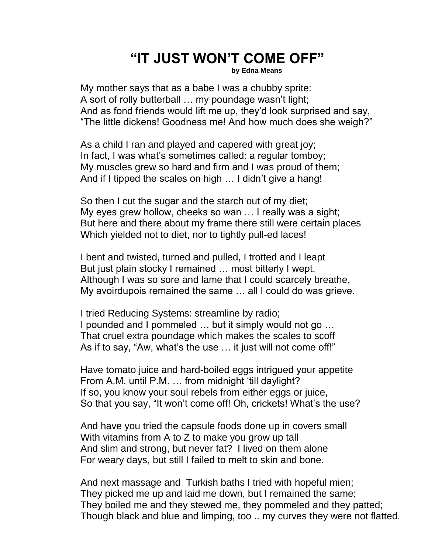## **"IT JUST WON'T COME OFF"**

**by Edna Means**

My mother says that as a babe I was a chubby sprite: A sort of rolly butterball … my poundage wasn't light; And as fond friends would lift me up, they'd look surprised and say, "The little dickens! Goodness me! And how much does she weigh?"

As a child I ran and played and capered with great joy; In fact, I was what's sometimes called: a regular tomboy; My muscles grew so hard and firm and I was proud of them; And if I tipped the scales on high … I didn't give a hang!

So then I cut the sugar and the starch out of my diet; My eyes grew hollow, cheeks so wan … I really was a sight; But here and there about my frame there still were certain places Which yielded not to diet, nor to tightly pull-ed laces!

I bent and twisted, turned and pulled, I trotted and I leapt But just plain stocky I remained … most bitterly I wept. Although I was so sore and lame that I could scarcely breathe, My avoirdupois remained the same … all I could do was grieve.

I tried Reducing Systems: streamline by radio; I pounded and I pommeled … but it simply would not go … That cruel extra poundage which makes the scales to scoff As if to say, "Aw, what's the use … it just will not come off!"

Have tomato juice and hard-boiled eggs intrigued your appetite From A.M. until P.M. … from midnight 'till daylight? If so, you know your soul rebels from either eggs or juice, So that you say, "It won't come off! Oh, crickets! What's the use?

And have you tried the capsule foods done up in covers small With vitamins from A to Z to make you grow up tall And slim and strong, but never fat? I lived on them alone For weary days, but still I failed to melt to skin and bone.

And next massage and Turkish baths I tried with hopeful mien; They picked me up and laid me down, but I remained the same; They boiled me and they stewed me, they pommeled and they patted; Though black and blue and limping, too .. my curves they were not flatted.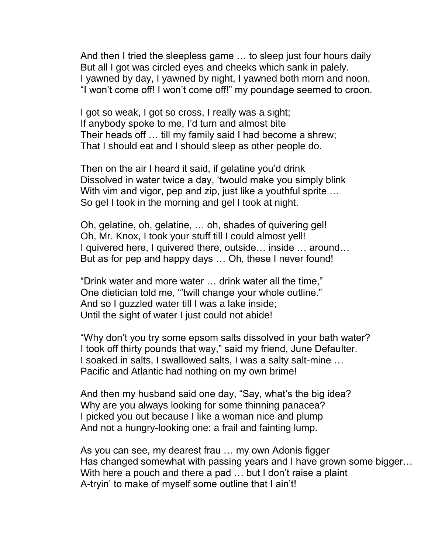And then I tried the sleepless game … to sleep just four hours daily But all I got was circled eyes and cheeks which sank in palely. I yawned by day, I yawned by night, I yawned both morn and noon. "I won't come off! I won't come off!" my poundage seemed to croon.

I got so weak, I got so cross, I really was a sight; If anybody spoke to me, I'd turn and almost bite Their heads off … till my family said I had become a shrew; That I should eat and I should sleep as other people do.

Then on the air I heard it said, if gelatine you'd drink Dissolved in water twice a day, 'twould make you simply blink With vim and vigor, pep and zip, just like a youthful sprite ... So gel I took in the morning and gel I took at night.

Oh, gelatine, oh, gelatine, … oh, shades of quivering gel! Oh, Mr. Knox, I took your stuff till I could almost yell! I quivered here, I quivered there, outside… inside … around… But as for pep and happy days … Oh, these I never found!

"Drink water and more water … drink water all the time," One dietician told me, "'twill change your whole outline." And so I guzzled water till I was a lake inside; Until the sight of water I just could not abide!

"Why don't you try some epsom salts dissolved in your bath water? I took off thirty pounds that way," said my friend, June Defaulter. I soaked in salts, I swallowed salts, I was a salty salt-mine … Pacific and Atlantic had nothing on my own brime!

And then my husband said one day, "Say, what's the big idea? Why are you always looking for some thinning panacea? I picked you out because I like a woman nice and plump And not a hungry-looking one: a frail and fainting lump.

As you can see, my dearest frau … my own Adonis figger Has changed somewhat with passing years and I have grown some bigger… With here a pouch and there a pad ... but I don't raise a plaint A-tryin' to make of myself some outline that I ain't!